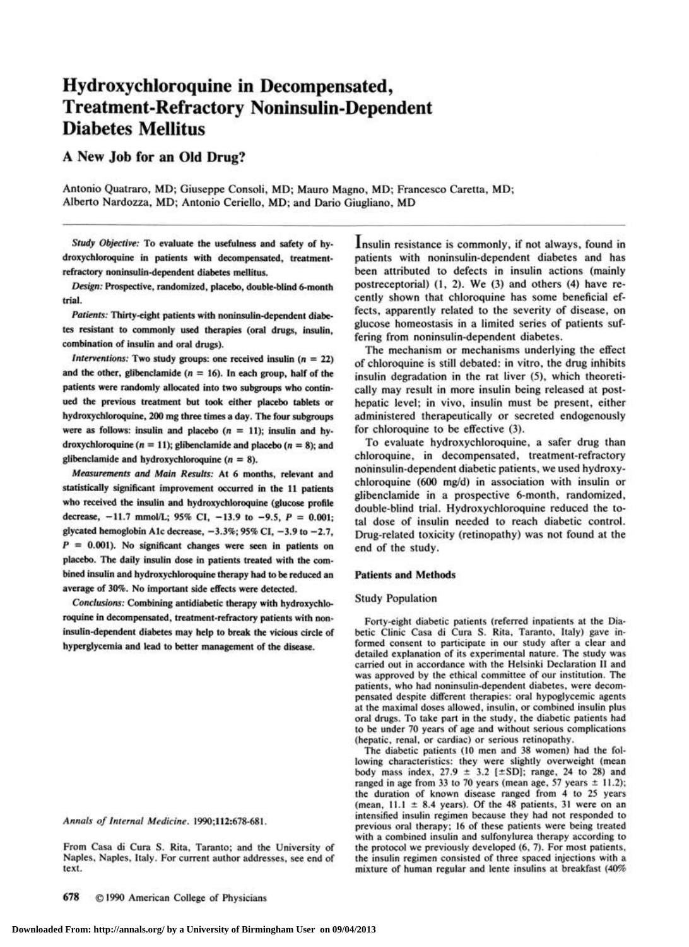# **Hydroxychloroquine in Decompensated, Treatment-Refractory Noninsulin-Dependent Diabetes Mellitus**

# **A New Job for an Old Drug?**

Antonio Quatraro, MD; Giuseppe Consoli, MD; Mauro Magno, MD; Francesco Caretta, MD; Alberto Nardozza, MD; Antonio Ceriello, MD; and Dario Giugliano, MD

*Study Objective:* To evaluate the usefulness and safety of hydroxychloroquine in patients with decompensated, treatmentrefractory noninsulin-dependent diabetes mellitus.

*Design:* Prospective, randomized, placebo, double-blind 6-month trial.

*Patients:* Thirty-eight patients with noninsulin-dependent diabetes resistant to commonly used therapies (oral drugs, insulin, combination of insulin and oral drugs).

*Interventions:* Two study groups: one received insulin  $(n = 22)$ and the other, glibenclamide ( $n = 16$ ). In each group, half of the patients were randomly allocated into two subgroups who continued the previous treatment but took either placebo tablets or hydroxychloroquine, 200 mg three times a day. The four subgroups were as follows: insulin and placebo ( $n = 11$ ); insulin and hydroxychloroquine ( $n = 11$ ); glibenclamide and placebo ( $n = 8$ ); and glibenclamide and hydroxychloroquine ( $n = 8$ ).

*Measurements and Main Results:* **At 6 months, relevant and**  statistically significant improvement occurred in the 11 patients who received the insulin and hydroxychloroquine (glucose profile decrease, -11.7 mmol/L; 95% CI, -13.9 to -9.5, *P* = 0.001; glycated hemoglobin A1c decrease,  $-3.3\%$ ; 95% CI,  $-3.9$  to  $-2.7$ , *P* = 0.001). No significant changes were seen in patients on placebo. The daily insulin dose in patients treated with the combined insulin and hydroxychloroquine therapy had to be reduced an average of 30%. No important side effects were detected.

*Conclusions:* Combining antidiabetic therapy with hydroxychloroquine in decompensated, treatment-refractory patients with noninsulin-dependent diabetes may help to break the vicious circle of hyperglycemia and lead to better management of the disease.

*Annals of Internal Medicine.* **1990;112:678-681.** 

From Casa di Cura S. Rita, Taranto; and the University of Naples, Naples, Italy. For current author addresses, see end of text.

Insulin resistance is commonly, if not always, found in patients with noninsulin-dependent diabetes and has been attributed to defects in insulin actions (mainly postreceptorial) (1, 2). We (3) and others (4) have recently shown that chloroquine has some beneficial effects, apparently related to the severity of disease, on glucose homeostasis in a limited series of patients suffering from noninsulin-dependent diabetes.

The mechanism or mechanisms underlying the effect of chloroquine is still debated: in vitro, the drug inhibits insulin degradation in the rat liver (5), which theoretically may result in more insulin being released at posthepatic level; in vivo, insulin must be present, either administered therapeutically or secreted endogenously for chloroquine to be effective (3).

To evaluate hydroxychloroquine, a safer drug than chloroquine, in decompensated, treatment-refractory noninsulin-dependent diabetic patients, we used hydroxychloroquine (600 mg/d) in association with insulin or glibenclamide in a prospective 6-month, randomized, double-blind trial. Hydroxychloroquine reduced the total dose of insulin needed to reach diabetic control. Drug-related toxicity (retinopathy) was not found at the end of the study.

# **Patients and Methods**

#### Study Population

Forty-eight diabetic patients (referred inpatients at the Diabetic Clinic Casa di Cura S. Rita, Taranto, Italy) gave informed consent to participate in our study after a clear and detailed explanation of its experimental nature. The study was carried out in accordance with the Helsinki Declaration II and was approved by the ethical committee of our institution. The patients, who had noninsulin-dependent diabetes, were decompensated despite different therapies: oral hypoglycemic agents at the maximal doses allowed, insulin, or combined insulin plus oral drugs. To take part in the study, the diabetic patients had to be under 70 years of age and without serious complications (hepatic, renal, or cardiac) or serious retinopathy.

The diabetic patients (10 men and 38 women) had the following characteristics: they were slightly overweight (mean body mass index,  $27.9 \pm 3.2$  [ $\pm$ SD]; range, 24 to 28) and ranged in age from 33 to 70 years (mean age, 57 years  $\pm$  11.2); the duration of known disease ranged from 4 to 25 years (mean,  $11.1 \pm 8.4$  years). Of the 48 patients, 31 were on an intensified insulin regimen because they had not responded to previous oral therapy; 16 of these patients were being treated with a combined insulin and sulfonylurea therapy according to the protocol we previously developed (6, 7). For most patients, the insulin regimen consisted of three spaced injections with a mixture of human regular and lente insulins at breakfast (40%

**678** © 1990 American College of Physicians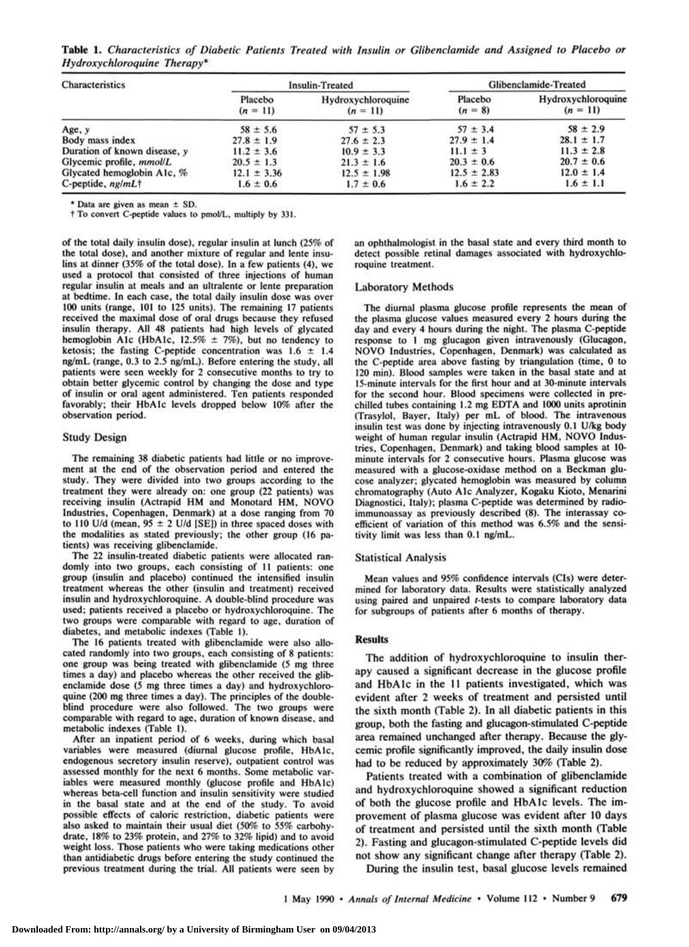**Table 1.** *Characteristics of Diabetic Patients Treated with Insulin or Glibenclamide and Assigned to Placebo or Hydroxychloroquine Therapy\** 

| <b>Characteristics</b>       | <b>Insulin-Treated</b> |                                  | Glibenclamide-Treated |                                  |
|------------------------------|------------------------|----------------------------------|-----------------------|----------------------------------|
|                              | Placebo<br>$(n = 11)$  | Hydroxychloroquine<br>$(n = 11)$ | Placebo<br>$(n = 8)$  | Hydroxychloroquine<br>$(n = 11)$ |
| Age, y                       | $58 \pm 5.6$           | $57 \pm 5.3$                     | $57 \pm 3.4$          | $58 \pm 2.9$                     |
| Body mass index              | $27.8 \pm 1.9$         | $27.6 \pm 2.3$                   | $27.9 \pm 1.4$        | $28.1 \pm 1.7$                   |
| Duration of known disease, y | $11.2 \pm 3.6$         | $10.9 \pm 3.3$                   | $11.1 \pm 3$          | $11.3 \pm 2.8$                   |
| Glycemic profile, mmol/L     | $20.5 \pm 1.3$         | $21.3 \pm 1.6$                   | $20.3 \pm 0.6$        | $20.7 \pm 0.6$                   |
| Glycated hemoglobin A1c, %   | $12.1 \pm 3.36$        | $12.5 \pm 1.98$                  | $12.5 \pm 2.83$       | $12.0 \pm 1.4$                   |
| C-peptide, $nghmL\dagger$    | $1.6 \pm 0.6$          | $1.7 \pm 0.6$                    | $1.6 \pm 2.2$         | $1.6 \pm 1.1$                    |

**\* Data are given as mean ± SD.** 

**t To convert C-peptide values to pmol/L, multiply by 331.** 

**of the total daily insulin dose), regular insulin at lunch (25% of the total dose), and another mixture of regular and lente insulins at dinner (35% of the total dose). In a few patients (4), we used a protocol that consisted of three injections of human regular insulin at meals and an ultralente or lente preparation at bedtime. In each case, the total daily insulin dose was over 100 units (range, 101 to 125 units). The remaining 17 patients received the maximal dose of oral drugs because they refused insulin therapy. All 48 patients had high levels of glycated hemoglobin Ale (HbAlc, 12.5% ± 7%), but no tendency to ketosis; the fasting C-peptide concentration was 1.6 ± 1.4 ng/mL (range, 0.3 to 2.5 ng/mL). Before entering the study, all patients were seen weekly for 2 consecutive months to try to obtain better glycemic control by changing the dose and type of insulin or oral agent administered. Ten patients responded favorably; their HbAlc levels dropped below 10% after the observation period.** 

### **Study Design**

**The remaining 38 diabetic patients had little or no improvement at the end of the observation period and entered the study. They were divided into two groups according to the treatment they were already on: one group (22 patients) was receiving insulin (Actrapid HM and Monotard HM, NOVO Industries, Copenhagen, Denmark) at a dose ranging from 70 to 110 U/d (mean, 95 ± 2 U/d [SE]) in three spaced doses with the modalities as stated previously; the other group (16 patients) was receiving glibenclamide.** 

**The 22 insulin-treated diabetic patients were allocated randomly into two groups, each consisting of 11 patients: one group (insulin and placebo) continued the intensified insulin treatment whereas the other (insulin and treatment) received insulin and hydroxychloroquine. A double-blind procedure was used; patients received a placebo or hydroxychloroquine. The two groups were comparable with regard to age, duration of diabetes, and metabolic indexes (Table 1).** 

**The 16 patients treated with glibenclamide were also allocated randomly into two groups, each consisting of 8 patients: one group was being treated with glibenclamide (5 mg three times a day) and placebo whereas the other received the glibenclamide dose (5 mg three times a day) and hydroxychloroquine (200 mg three times a day). The principles of the doubleblind procedure were also followed. The two groups were comparable with regard to age, duration of known disease, and metabolic indexes (Table 1).** 

**After an inpatient period of 6 weeks, during which basal variables were measured (diurnal glucose profile, HbAlc, endogenous secretory insulin reserve), outpatient control was assessed monthly for the next 6 months. Some metabolic variables were measured monthly (glucose profile and HbAlc) whereas beta-cell function and insulin sensitivity were studied in the basal state and at the end of the study. To avoid possible effects of caloric restriction, diabetic patients were also asked to maintain their usual diet (50% to 55% carbohydrate, 18% to 23% protein, and 27% to 32% lipid) and to avoid weight loss. Those patients who were taking medications other than antidiabetic drugs before entering the study continued the previous treatment during the trial. All patients were seen by**  **an ophthalmologist in the basal state and every third month to detect possible retinal damages associated with hydroxychloroquine treatment.** 

## **Laboratory Methods**

**The diurnal plasma glucose profile represents the mean of the plasma glucose values measured every 2 hours during the day and every 4 hours during the night. The plasma C-peptide response to 1 mg glucagon given intravenously (Glucagon, NOVO Industries, Copenhagen, Denmark) was calculated as the C-peptide area above fasting by triangulation (time, 0 to 120 min). Blood samples were taken in the basal state and at 15-minute intervals for the first hour and at 30-minute intervals for the second hour. Blood specimens were collected in prechilled tubes containing 1.2 mg EDTA and 1000 units aprotinin (Trasylol, Bayer, Italy) per mL of blood. The intravenous insulin test was done by injecting intravenously 0.1 U/kg body weight of human regular insulin (Actrapid HM, NOVO Industries, Copenhagen, Denmark) and taking blood samples at 10 minute intervals for 2 consecutive hours. Plasma glucose was measured with a glucose-oxidase method on a Beckman glucose analyzer; glycated hemoglobin was measured by column chromatography (Auto Ale Analyzer, Kogaku Kioto, Menarini Diagnostici, Italy); plasma C-peptide was determined by radioimmunoassay as previously described (8). The interassay coefficient of variation of this method was 6.5% and the sensitivity limit was less than 0.1 ng/mL.** 

#### **Statistical Analysis**

**Mean values and 95% confidence intervals (CIs) were determined for laboratory data. Results were statistically analyzed**  using paired and unpaired *t*-tests to compare laboratory data **for subgroups of patients after 6 months of therapy.** 

#### **Results**

**The addition of hydroxychloroquine to insulin therapy caused a significant decrease in the glucose profile and HbAlc in the 11 patients investigated, which was evident after 2 weeks of treatment and persisted until the sixth month (Table 2). In all diabetic patients in this group, both the fasting and glucagon-stimulated C-peptide area remained unchanged after therapy. Because the glycemic profile significantly improved, the daily insulin dose had to be reduced by approximately 30% (Table 2).** 

**Patients treated with a combination of glibenclamide and hydroxychloroquine showed a significant reduction of both the glucose profile and HbAlc levels. The improvement of plasma glucose was evident after 10 days of treatment and persisted until the sixth month (Table 2). Fasting and glucagon-stimulated C-peptide levels did not show any significant change after therapy (Table 2). During the insulin test, basal glucose levels remained**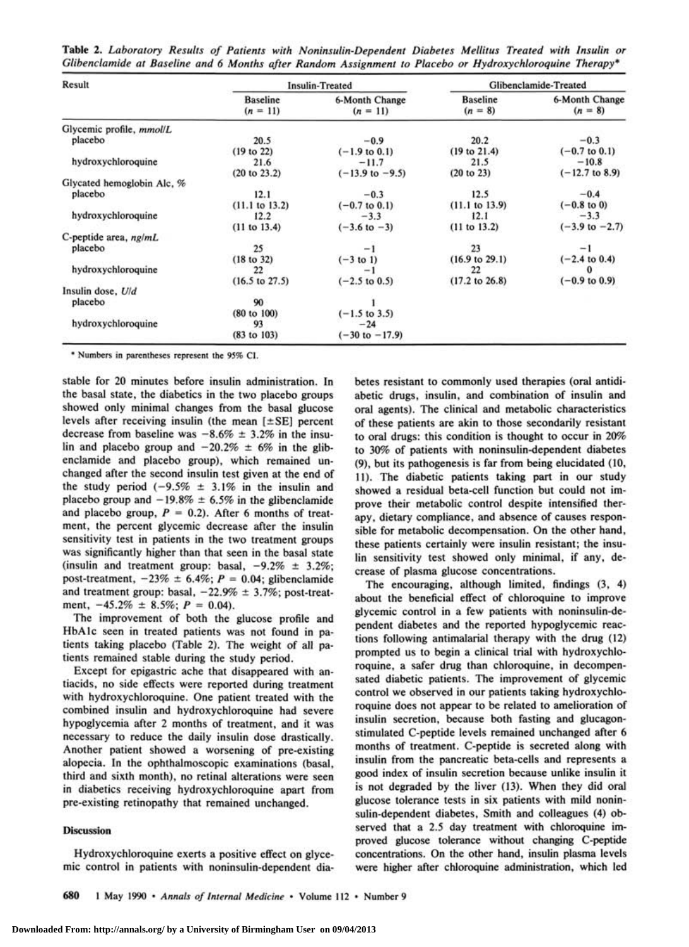**Table 2.** *Laboratory Results of Patients with Noninsulin-Dependent Diabetes Mellitus Treated with Insulin or Glibenclamide at Baseline and 6 Months after Random Assignment to Placebo or Hydroxychloroquine Therapy\** 

| Result                     | <b>Insulin-Treated</b>        |                              | Glibenclamide-Treated        |                             |
|----------------------------|-------------------------------|------------------------------|------------------------------|-----------------------------|
|                            | <b>Baseline</b><br>$(n = 11)$ | 6-Month Change<br>$(n = 11)$ | <b>Baseline</b><br>$(n = 8)$ | 6-Month Change<br>$(n = 8)$ |
| Glycemic profile, mmol/L   |                               |                              |                              |                             |
| placebo                    | 20.5                          | $-0.9$                       | 20.2                         | $-0.3$                      |
|                            | (19 to 22)                    | $(-1.9 \text{ to } 0.1)$     | (19 to 21.4)                 | $(-0.7 \text{ to } 0.1)$    |
| hydroxychloroquine         | 21.6                          | $-11.7$                      | 21.5                         | $-10.8$                     |
|                            | (20 to 23.2)                  | $(-13.9 \text{ to } -9.5)$   | (20 to 23)                   | $(-12.7 \text{ to } 8.9)$   |
| Glycated hemoglobin Alc. % |                               |                              |                              |                             |
| placebo                    | 12.1                          | $-0.3$                       | 12.5                         | $-0.4$                      |
|                            | (11.1 to 13.2)                | $(-0.7 \text{ to } 0.1)$     | (11.1 to 13.9)               | $(-0.8 \text{ to } 0)$      |
| hydroxychloroquine         | 12.2                          | $-3.3$                       | 12.1                         | $-3.3$                      |
|                            | (11 to 13.4)                  | $(-3.6 \text{ to } -3)$      | (11 to 13.2)                 | $(-3.9 \text{ to } -2.7)$   |
| C-peptide area, $ng/mL$    |                               |                              |                              |                             |
| placebo                    | 25                            | -1                           | 23                           | $-1$                        |
|                            | (18 to 32)                    | $(-3 to 1)$                  | $(16.9 \text{ to } 29.1)$    | $(-2.4 \text{ to } 0.4)$    |
| hydroxychloroquine         | 22                            | -                            | 22                           |                             |
|                            | $(16.5 \text{ to } 27.5)$     | $(-2.5 \text{ to } 0.5)$     | $(17.2 \text{ to } 26.8)$    | $(-0.9 \text{ to } 0.9)$    |
| Insulin dose, U/d          |                               |                              |                              |                             |
| placebo                    | 90                            |                              |                              |                             |
|                            | $(80 \text{ to } 100)$        | $(-1.5 \text{ to } 3.5)$     |                              |                             |
| hydroxychloroquine         | 93                            | $-24$                        |                              |                             |
|                            | (83 to 103)                   | $(-30 \text{ to } -17.9)$    |                              |                             |

\* Numbers in parentheses represent the 95% CI.

stable for 20 minutes before insulin administration. In the basal state, the diabetics in the two placebo groups showed only minimal changes from the basal glucose levels after receiving insulin (the mean [±SE] percent decrease from baseline was  $-8.6\% \pm 3.2\%$  in the insulin and placebo group and  $-20.2\% \pm 6\%$  in the glibenclamide and placebo group), which remained unchanged after the second insulin test given at the end of the study period  $(-9.5\% \pm 3.1\%$  in the insulin and placebo group and  $-19.8\% \pm 6.5\%$  in the glibenclamide and placebo group,  $P = 0.2$ ). After 6 months of treatment, the percent glycemic decrease after the insulin sensitivity test in patients in the two treatment groups was significantly higher than that seen in the basal state (insulin and treatment group: basal,  $-9.2\% \pm 3.2\%$ ; post-treatment,  $-23\% \pm 6.4\%; P = 0.04;$  glibenclamide and treatment group: basal,  $-22.9\% \pm 3.7\%$ ; post-treatment, -45.2% ± 8.5%; *P =* 0.04).

The improvement of both the glucose profile and HbAlc seen in treated patients was not found in patients taking placebo (Table 2). The weight of all patients remained stable during the study period.

Except for epigastric ache that disappeared with antiacids, no side effects were reported during treatment with hydroxychloroquine. One patient treated with the combined insulin and hydroxychloroquine had severe hypoglycemia after 2 months of treatment, and it was necessary to reduce the daily insulin dose drastically. Another patient showed a worsening of pre-existing alopecia. In the ophthalmoscopic examinations (basal, third and sixth month), no retinal alterations were seen in diabetics receiving hydroxychloroquine apart from pre-existing retinopathy that remained unchanged.

# Discussion

Hydroxychloroquine exerts a positive effect on glycemic control in patients with noninsulin-dependent diabetes resistant to commonly used therapies (oral antidiabetic drugs, insulin, and combination of insulin and oral agents). The clinical and metabolic characteristics of these patients are akin to those secondarily resistant to oral drugs: this condition is thought to occur in 20% to 30% of patients with noninsulin-dependent diabetes (9), but its pathogenesis is far from being elucidated (10, 11). The diabetic patients taking part in our study showed a residual beta-cell function but could not improve their metabolic control despite intensified therapy, dietary compliance, and absence of causes responsible for metabolic decompensation. On the other hand, these patients certainly were insulin resistant; the insulin sensitivity test showed only minimal, if any, decrease of plasma glucose concentrations.

The encouraging, although limited, findings (3, 4) about the beneficial effect of chloroquine to improve glycemic control in a few patients with noninsulin-dependent diabetes and the reported hypoglycemic reactions following antimalarial therapy with the drug (12) prompted us to begin a clinical trial with hydroxychloroquine, a safer drug than chloroquine, in decompensated diabetic patients. The improvement of glycemic control we observed in our patients taking hydroxychloroquine does not appear to be related to amelioration of insulin secretion, because both fasting and glucagonstimulated C-peptide levels remained unchanged after 6 months of treatment. C-peptide is secreted along with insulin from the pancreatic beta-cells and represents a good index of insulin secretion because unlike insulin it is not degraded by the liver (13). When they did oral glucose tolerance tests in six patients with mild noninsulin-dependent diabetes, Smith and colleagues (4) observed that a 2.5 day treatment with chloroquine improved glucose tolerance without changing C-peptide concentrations. On the other hand, insulin plasma levels were higher after chloroquine administration, which led